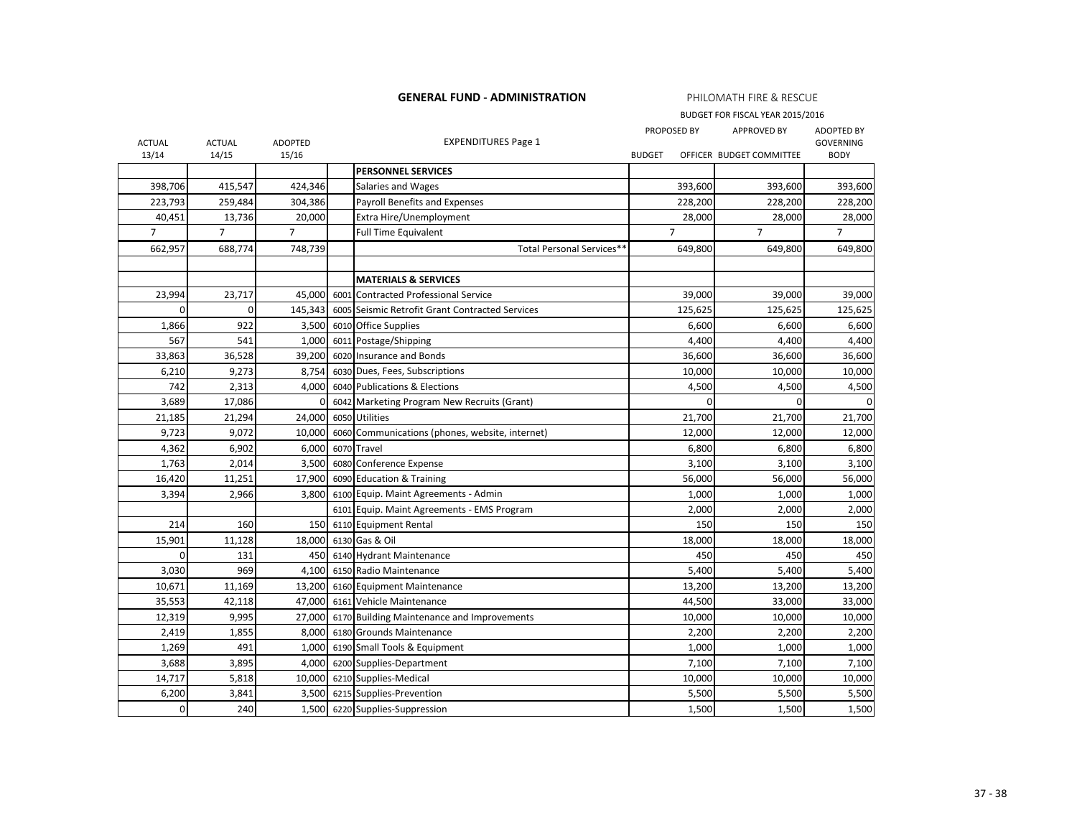**GENERAL FUND - ADMINISTRATION**

PHILOMATH FIRE & RESCUE

BUDGET FOR FISCAL YEAR 2015/2016

| <b>ACTUAL</b>  | <b>ACTUAL</b>  | ADOPTED        |      | <b>EXPENDITURES Page 1</b>                      | PROPOSED BY    | <b>APPROVED BY</b>       | <b>ADOPTED BY</b><br><b>GOVERNING</b> |
|----------------|----------------|----------------|------|-------------------------------------------------|----------------|--------------------------|---------------------------------------|
| 13/14          | 14/15          | 15/16          |      |                                                 | <b>BUDGET</b>  | OFFICER BUDGET COMMITTEE | <b>BODY</b>                           |
|                |                |                |      | <b>PERSONNEL SERVICES</b>                       |                |                          |                                       |
| 398,706        | 415,547        | 424,346        |      | Salaries and Wages                              | 393,600        | 393,600                  | 393,600                               |
| 223,793        | 259,484        | 304,386        |      | Payroll Benefits and Expenses                   | 228,200        | 228,200                  | 228,200                               |
| 40,451         | 13,736         | 20,000         |      | Extra Hire/Unemployment                         | 28,000         | 28,000                   | 28,000                                |
| $\overline{7}$ | $\overline{7}$ | $\overline{7}$ |      | <b>Full Time Equivalent</b>                     | $\overline{7}$ | $\overline{7}$           | $\overline{7}$                        |
| 662,957        | 688,774        | 748,739        |      | Total Personal Services**                       | 649,800        | 649,800                  | 649,800                               |
|                |                |                |      |                                                 |                |                          |                                       |
|                |                |                |      | <b>MATERIALS &amp; SERVICES</b>                 |                |                          |                                       |
| 23,994         | 23,717         | 45,000         | 6001 | Contracted Professional Service                 | 39,000         | 39,000                   | 39,000                                |
| $\Omega$       | $\mathbf 0$    | 145,343        |      | 6005 Seismic Retrofit Grant Contracted Services | 125,625        | 125,625                  | 125,625                               |
| 1,866          | 922            | 3,500          |      | 6010 Office Supplies                            | 6,600          | 6,600                    | 6,600                                 |
| 567            | 541            | 1,000          |      | 6011 Postage/Shipping                           | 4,400          | 4,400                    | 4,400                                 |
| 33,863         | 36,528         | 39,200         |      | 6020 Insurance and Bonds                        | 36,600         | 36,600                   | 36,600                                |
| 6,210          | 9,273          | 8,754          |      | 6030 Dues, Fees, Subscriptions                  | 10,000         | 10,000                   | 10,000                                |
| 742            | 2,313          | 4,000          |      | 6040 Publications & Elections                   | 4,500          | 4,500                    | 4,500                                 |
| 3,689          | 17,086         | $\mathbf 0$    |      | 6042 Marketing Program New Recruits (Grant)     | $\Omega$       | $\Omega$                 | $\mathbf 0$                           |
| 21,185         | 21,294         | 24,000         |      | 6050 Utilities                                  | 21,700         | 21,700                   | 21,700                                |
| 9,723          | 9,072          | 10,000         |      | 6060 Communications (phones, website, internet) | 12,000         | 12,000                   | 12,000                                |
| 4,362          | 6,902          | 6,000          |      | 6070 Travel                                     | 6,800          | 6,800                    | 6,800                                 |
| 1,763          | 2,014          | 3,500          |      | 6080 Conference Expense                         | 3,100          | 3,100                    | 3,100                                 |
| 16,420         | 11,251         | 17,900         |      | 6090 Education & Training                       | 56,000         | 56,000                   | 56,000                                |
| 3,394          | 2,966          | 3,800          |      | 6100 Equip. Maint Agreements - Admin            | 1,000          | 1,000                    | 1,000                                 |
|                |                |                |      | 6101 Equip. Maint Agreements - EMS Program      | 2,000          | 2,000                    | 2,000                                 |
| 214            | 160            | 150            |      | 6110 Equipment Rental                           | 150            | 150                      | 150                                   |
| 15,901         | 11,128         | 18,000         |      | 6130 Gas & Oil                                  | 18,000         | 18,000                   | 18,000                                |
| $\Omega$       | 131            | 450            |      | 6140 Hydrant Maintenance                        | 450            | 450                      | 450                                   |
| 3,030          | 969            | 4,100          |      | 6150 Radio Maintenance                          | 5,400          | 5,400                    | 5,400                                 |
| 10,671         | 11,169         | 13,200         |      | 6160 Equipment Maintenance                      | 13,200         | 13,200                   | 13,200                                |
| 35,553         | 42,118         | 47,000         |      | 6161 Vehicle Maintenance                        | 44,500         | 33,000                   | 33,000                                |
| 12,319         | 9,995          | 27,000         |      | 6170 Building Maintenance and Improvements      | 10,000         | 10,000                   | 10,000                                |
| 2,419          | 1,855          | 8,000          |      | 6180 Grounds Maintenance                        | 2,200          | 2,200                    | 2,200                                 |
| 1,269          | 491            | 1,000          |      | 6190 Small Tools & Equipment                    | 1,000          | 1,000                    | 1,000                                 |
| 3,688          | 3,895          | 4,000          |      | 6200 Supplies-Department                        | 7,100          | 7,100                    | 7,100                                 |
| 14,717         | 5,818          | 10,000         |      | 6210 Supplies-Medical                           | 10,000         | 10,000                   | 10,000                                |
| 6,200          | 3,841          | 3,500          |      | 6215 Supplies-Prevention                        | 5,500          | 5,500                    | 5,500                                 |
| $\mathbf 0$    | 240            | 1,500          |      | 6220 Supplies-Suppression                       | 1,500          | 1,500                    | 1,500                                 |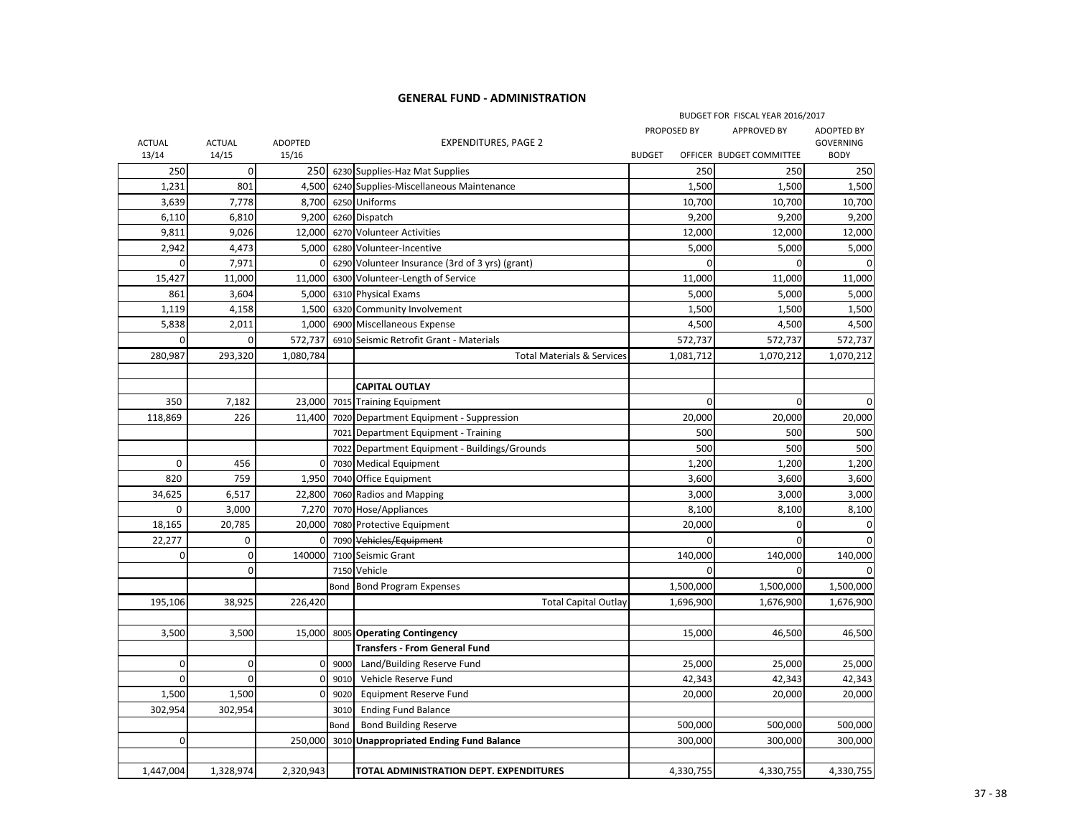## **GENERAL FUND - ADMINISTRATION**

|               |               |                |        |                                                 |               |           | BUDGET FOR FISCAL YEAR 2016/2017 |                                       |
|---------------|---------------|----------------|--------|-------------------------------------------------|---------------|-----------|----------------------------------|---------------------------------------|
| <b>ACTUAL</b> | <b>ACTUAL</b> | <b>ADOPTED</b> |        | <b>EXPENDITURES, PAGE 2</b>                     | PROPOSED BY   |           | <b>APPROVED BY</b>               | <b>ADOPTED BY</b><br><b>GOVERNING</b> |
| 13/14         | 14/15         | 15/16          |        |                                                 | <b>BUDGET</b> |           | OFFICER BUDGET COMMITTEE         | <b>BODY</b>                           |
| 250           | $\pmb{0}$     | 250            |        | 6230 Supplies-Haz Mat Supplies                  |               | 250       | 250                              | 250                                   |
| 1,231         | 801           | 4,500          |        | 6240 Supplies-Miscellaneous Maintenance         |               | 1,500     | 1,500                            | 1,500                                 |
| 3,639         | 7,778         | 8,700          |        | 6250 Uniforms                                   |               | 10,700    | 10,700                           | 10,700                                |
| 6,110         | 6,810         | 9,200          |        | 6260 Dispatch                                   |               | 9,200     | 9,200                            | 9,200                                 |
| 9,811         | 9,026         | 12,000         |        | 6270 Volunteer Activities                       |               | 12,000    | 12,000                           | 12,000                                |
| 2,942         | 4,473         | 5,000          |        | 6280 Volunteer-Incentive                        |               | 5,000     | 5,000                            | 5,000                                 |
| $\mathbf 0$   | 7,971         | $\overline{0}$ |        | 6290 Volunteer Insurance (3rd of 3 yrs) (grant) |               | $\Omega$  | 0                                | 0                                     |
| 15,427        | 11,000        | 11,000         |        | 6300 Volunteer-Length of Service                |               | 11,000    | 11,000                           | 11,000                                |
| 861           | 3,604         | 5,000          |        | 6310 Physical Exams                             |               | 5,000     | 5,000                            | 5,000                                 |
| 1,119         | 4,158         | 1,500          |        | 6320 Community Involvement                      |               | 1,500     | 1,500                            | 1,500                                 |
| 5,838         | 2,011         | 1,000          |        | 6900 Miscellaneous Expense                      |               | 4,500     | 4,500                            | 4,500                                 |
| $\Omega$      | $\Omega$      | 572,737        |        | 6910 Seismic Retrofit Grant - Materials         |               | 572,737   | 572,737                          | 572,737                               |
| 280,987       | 293,320       | 1,080,784      |        | <b>Total Materials &amp; Services</b>           |               | 1,081,712 | 1,070,212                        | 1,070,212                             |
|               |               |                |        |                                                 |               |           |                                  |                                       |
|               |               |                |        | <b>CAPITAL OUTLAY</b>                           |               |           |                                  |                                       |
| 350           | 7,182         | 23,000         |        | 7015 Training Equipment                         |               | 0         | $\overline{0}$                   | $\mathbf 0$                           |
| 118,869       | 226           | 11,400         |        | 7020 Department Equipment - Suppression         |               | 20,000    | 20,000                           | 20,000                                |
|               |               |                |        | 7021 Department Equipment - Training            |               | 500       | 500                              | 500                                   |
|               |               |                |        | 7022 Department Equipment - Buildings/Grounds   |               | 500       | 500                              | 500                                   |
| $\mathbf 0$   | 456           | $\overline{0}$ |        | 7030 Medical Equipment                          |               | 1,200     | 1,200                            | 1,200                                 |
| 820           | 759           | 1,950          |        | 7040 Office Equipment                           |               | 3,600     | 3,600                            | 3,600                                 |
| 34,625        | 6,517         | 22,800         |        | 7060 Radios and Mapping                         |               | 3,000     | 3,000                            | 3,000                                 |
| $\mathbf 0$   | 3,000         | 7,270          |        | 7070 Hose/Appliances                            |               | 8,100     | 8,100                            | 8,100                                 |
| 18,165        | 20,785        | 20,000         |        | 7080 Protective Equipment                       |               | 20,000    | 0                                | 0                                     |
| 22,277        | 0             | $\overline{0}$ |        | 7090 Vehicles/Equipment                         |               | 0         | $\mathbf 0$                      | 0                                     |
| $\mathbf 0$   | $\mathbf 0$   | 140000         |        | 7100 Seismic Grant                              |               | 140,000   | 140,000                          | 140,000                               |
|               | $\Omega$      |                |        | 7150 Vehicle                                    |               | $\Omega$  | $\mathbf 0$                      |                                       |
|               |               |                | Bond   | <b>Bond Program Expenses</b>                    |               | 1,500,000 | 1,500,000                        | 1,500,000                             |
| 195,106       | 38,925        | 226,420        |        | <b>Total Capital Outlay</b>                     |               | 1,696,900 | 1,676,900                        | 1,676,900                             |
|               |               |                |        |                                                 |               |           |                                  |                                       |
| 3,500         | 3,500         | 15,000         |        | 8005 Operating Contingency                      |               | 15,000    | 46,500                           | 46,500                                |
|               |               |                |        | <b>Transfers - From General Fund</b>            |               |           |                                  |                                       |
| $\mathbf 0$   | $\mathbf 0$   |                | 0 9000 | Land/Building Reserve Fund                      |               | 25,000    | 25,000                           | 25,000                                |
| $\Omega$      | $\Omega$      | $\overline{0}$ | 9010   | Vehicle Reserve Fund                            |               | 42,343    | 42,343                           | 42,343                                |
| 1,500         | 1,500         | $\overline{0}$ | 9020   | <b>Equipment Reserve Fund</b>                   |               | 20,000    | 20,000                           | 20,000                                |
| 302,954       | 302,954       |                | 3010   | <b>Ending Fund Balance</b>                      |               |           |                                  |                                       |
|               |               |                |        |                                                 |               |           |                                  |                                       |
| $\mathbf 0$   |               |                | Bond   | <b>Bond Building Reserve</b>                    |               | 500,000   | 500,000                          | 500,000                               |
|               |               | 250,000        |        | 3010 Unappropriated Ending Fund Balance         |               | 300,000   | 300,000                          | 300,000                               |
|               |               |                |        |                                                 |               |           |                                  |                                       |
| 1,447,004     | 1,328,974     | 2,320,943      |        | TOTAL ADMINISTRATION DEPT. EXPENDITURES         |               | 4,330,755 | 4,330,755                        | 4,330,755                             |